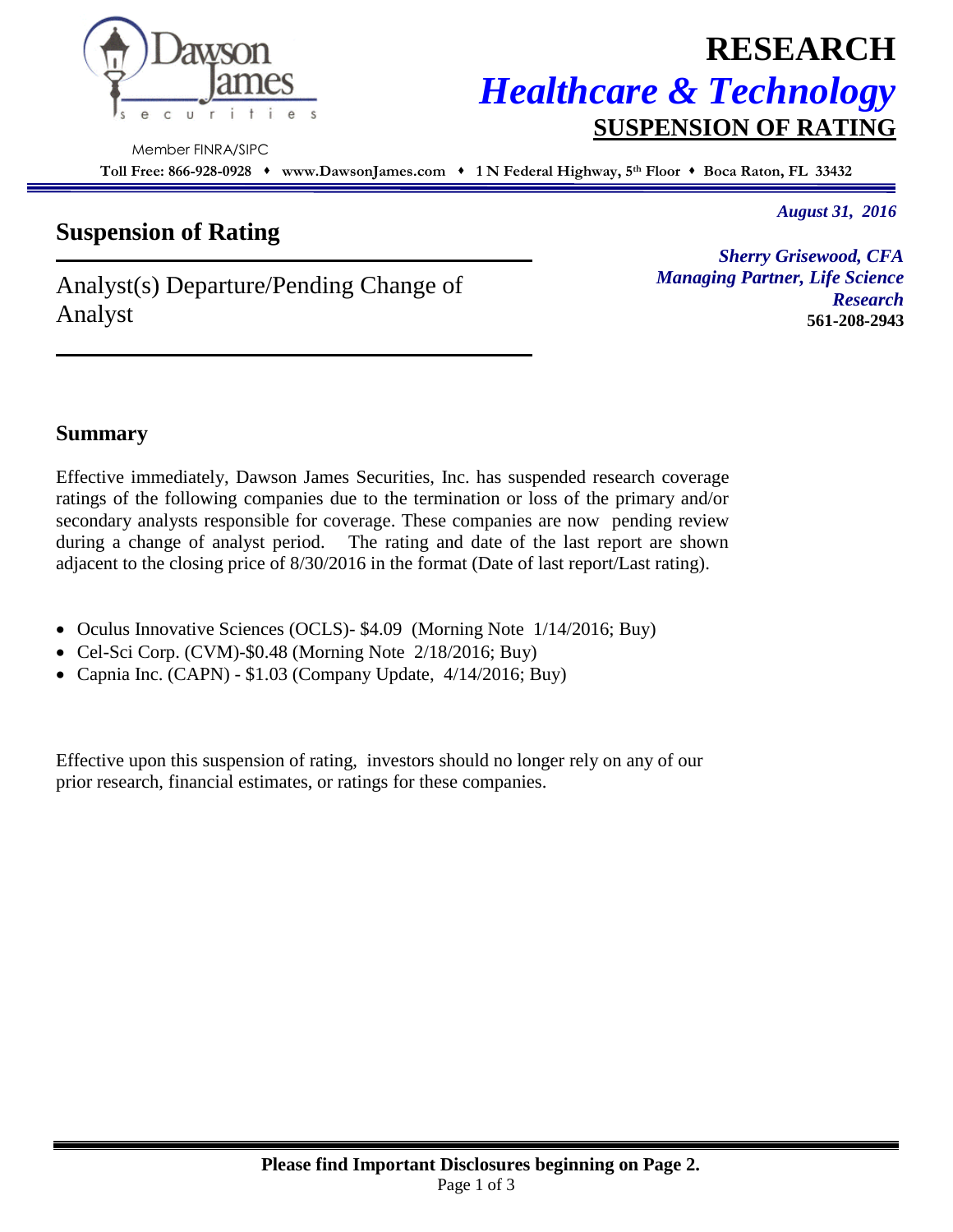

# **RESEARCH** *Healthcare & Technology* **SUSPENSION OF RATING**

Member FINRA/SIPC

**Toll Free: 866-928-0928 www.DawsonJames.com 1 N Federal Highway, 5 th Floor Boca Raton, FL 33432**

## **Suspension of Rating**

*August 31, 2016*

Analyst(s) Departure/Pending Change of Analyst

*Sherry Grisewood, CFA Managing Partner, Life Science Research*  **561-208-2943**

### **Summary**

Effective immediately, Dawson James Securities, Inc. has suspended research coverage ratings of the following companies due to the termination or loss of the primary and/or secondary analysts responsible for coverage. These companies are now pending review during a change of analyst period. The rating and date of the last report are shown adjacent to the closing price of 8/30/2016 in the format (Date of last report/Last rating).

- Oculus Innovative Sciences (OCLS)- \$4.09 (Morning Note 1/14/2016; Buy)
- Cel-Sci Corp. (CVM)-\$0.48 (Morning Note 2/18/2016; Buy)
- Capnia Inc. (CAPN) \$1.03 (Company Update, 4/14/2016; Buy)

Effective upon this suspension of rating, investors should no longer rely on any of our prior research, financial estimates, or ratings for these companies.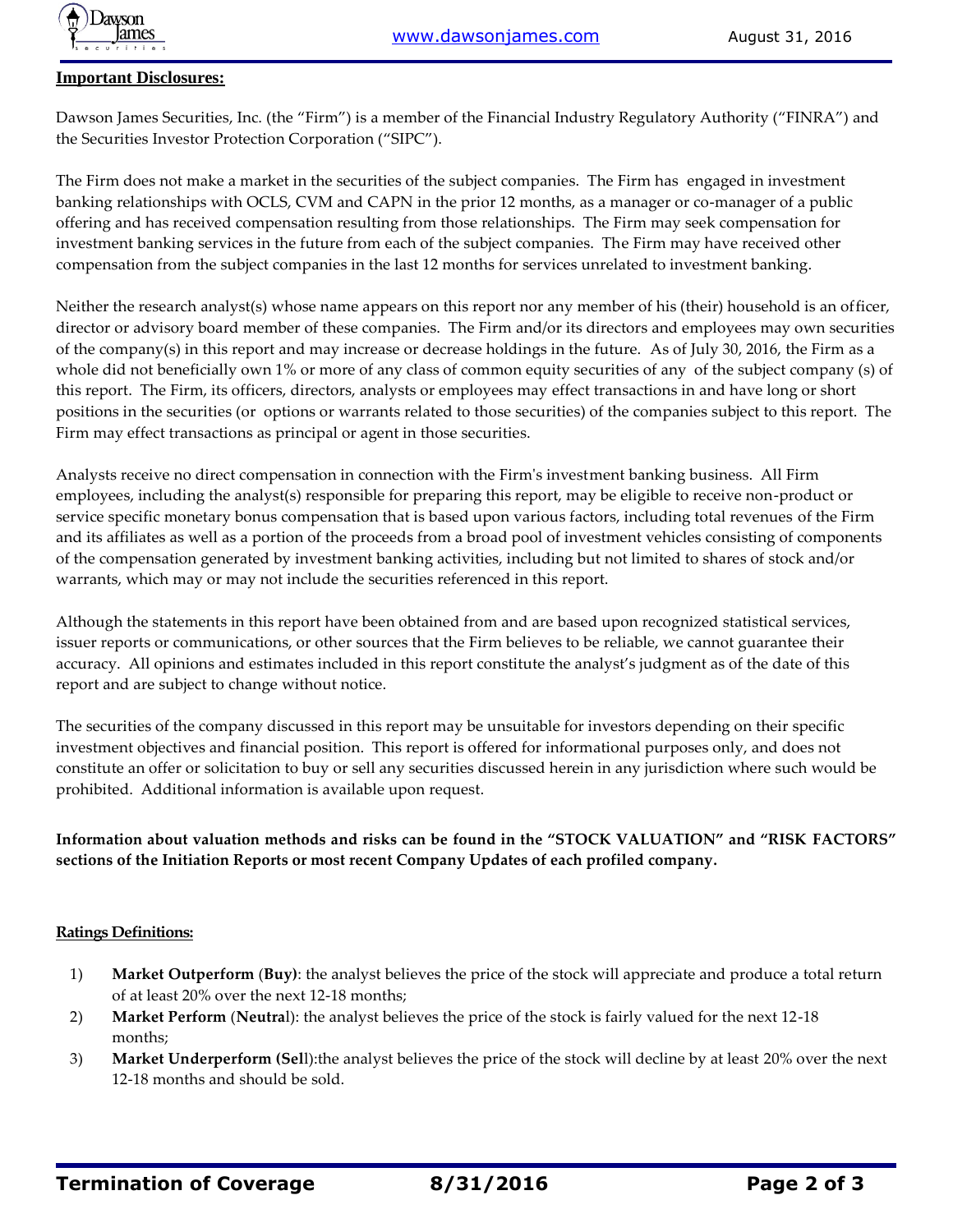

#### **Important Disclosures:**

Dawson James Securities, Inc. (the "Firm") is a member of the Financial Industry Regulatory Authority ("FINRA") and the Securities Investor Protection Corporation ("SIPC").

The Firm does not make a market in the securities of the subject companies. The Firm has engaged in investment banking relationships with OCLS, CVM and CAPN in the prior 12 months, as a manager or co-manager of a public offering and has received compensation resulting from those relationships. The Firm may seek compensation for investment banking services in the future from each of the subject companies. The Firm may have received other compensation from the subject companies in the last 12 months for services unrelated to investment banking.

Neither the research analyst(s) whose name appears on this report nor any member of his (their) household is an officer, director or advisory board member of these companies. The Firm and/or its directors and employees may own securities of the company(s) in this report and may increase or decrease holdings in the future. As of July 30, 2016, the Firm as a whole did not beneficially own 1% or more of any class of common equity securities of any of the subject company (s) of this report. The Firm, its officers, directors, analysts or employees may effect transactions in and have long or short positions in the securities (or options or warrants related to those securities) of the companies subject to this report. The Firm may effect transactions as principal or agent in those securities.

Analysts receive no direct compensation in connection with the Firm's investment banking business. All Firm employees, including the analyst(s) responsible for preparing this report, may be eligible to receive non-product or service specific monetary bonus compensation that is based upon various factors, including total revenues of the Firm and its affiliates as well as a portion of the proceeds from a broad pool of investment vehicles consisting of components of the compensation generated by investment banking activities, including but not limited to shares of stock and/or warrants, which may or may not include the securities referenced in this report.

Although the statements in this report have been obtained from and are based upon recognized statistical services, issuer reports or communications, or other sources that the Firm believes to be reliable, we cannot guarantee their accuracy. All opinions and estimates included in this report constitute the analyst's judgment as of the date of this report and are subject to change without notice.

The securities of the company discussed in this report may be unsuitable for investors depending on their specific investment objectives and financial position. This report is offered for informational purposes only, and does not constitute an offer or solicitation to buy or sell any securities discussed herein in any jurisdiction where such would be prohibited. Additional information is available upon request.

#### **Information about valuation methods and risks can be found in the "STOCK VALUATION" and "RISK FACTORS" sections of the Initiation Reports or most recent Company Updates of each profiled company.**

#### **Ratings Definitions:**

- 1) **Market Outperform** (**Buy)**: the analyst believes the price of the stock will appreciate and produce a total return of at least 20% over the next 12-18 months;
- 2) **Market Perform** (**Neutra**l): the analyst believes the price of the stock is fairly valued for the next 12-18 months;
- 3) **Market Underperform (Sel**l):the analyst believes the price of the stock will decline by at least 20% over the next 12-18 months and should be sold.